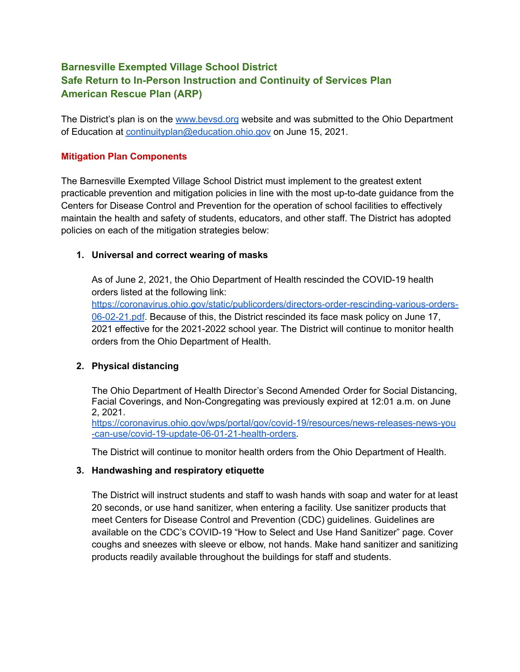# **Barnesville Exempted Village School District Safe Return to In-Person Instruction and Continuity of Services Plan American Rescue Plan (ARP)**

The District's plan is on the [www.bevsd.org](http://www.bevsd.org) website and was submitted to the Ohio Department of Education at [continuityplan@education.ohio.gov](mailto:continuityplan@education.ohio.gov) on June 15, 2021.

## **Mitigation Plan Components**

The Barnesville Exempted Village School District must implement to the greatest extent practicable prevention and mitigation policies in line with the most up-to-date guidance from the Centers for Disease Control and Prevention for the operation of school facilities to effectively maintain the health and safety of students, educators, and other staff. The District has adopted policies on each of the mitigation strategies below:

### **1. Universal and correct wearing of masks**

As of June 2, 2021, the Ohio Department of Health rescinded the COVID-19 health orders listed at the following link:

[https://coronavirus.ohio.gov/static/publicorders/directors-order-rescinding-various-orders-](https://coronavirus.ohio.gov/static/publicorders/directors-order-rescinding-various-orders-06-02-21.pdf)[06-02-21.pdf](https://coronavirus.ohio.gov/static/publicorders/directors-order-rescinding-various-orders-06-02-21.pdf). Because of this, the District rescinded its face mask policy on June 17, 2021 effective for the 2021-2022 school year. The District will continue to monitor health orders from the Ohio Department of Health.

# **2. Physical distancing**

The Ohio Department of Health Director's Second Amended Order for Social Distancing, Facial Coverings, and Non-Congregating was previously expired at 12:01 a.m. on June 2, 2021.

[https://coronavirus.ohio.gov/wps/portal/gov/covid-19/resources/news-releases-news-you](https://coronavirus.ohio.gov/wps/portal/gov/covid-19/resources/news-releases-news-you-can-use/covid-19-update-06-01-21-health-orders) [-can-use/covid-19-update-06-01-21-health-orders.](https://coronavirus.ohio.gov/wps/portal/gov/covid-19/resources/news-releases-news-you-can-use/covid-19-update-06-01-21-health-orders)

The District will continue to monitor health orders from the Ohio Department of Health.

#### **3. Handwashing and respiratory etiquette**

The District will instruct students and staff to wash hands with soap and water for at least 20 seconds, or use hand sanitizer, when entering a facility. Use sanitizer products that meet Centers for Disease Control and Prevention (CDC) guidelines. Guidelines are available on the CDC's COVID-19 "How to Select and Use Hand Sanitizer" page. Cover coughs and sneezes with sleeve or elbow, not hands. Make hand sanitizer and sanitizing products readily available throughout the buildings for staff and students.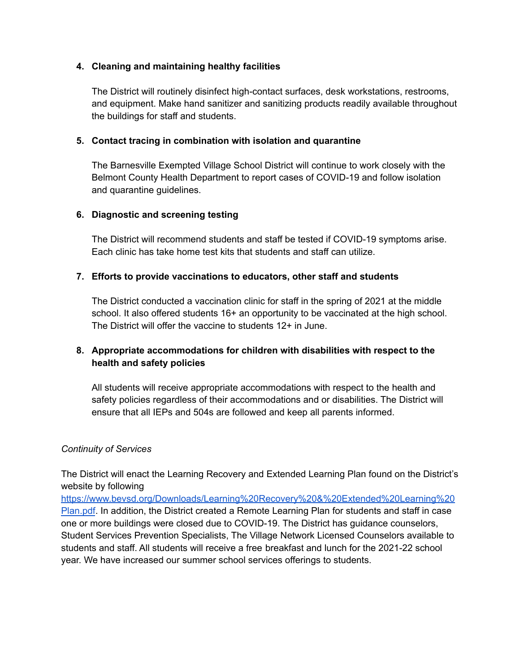### **4. Cleaning and maintaining healthy facilities**

The District will routinely disinfect high-contact surfaces, desk workstations, restrooms, and equipment. Make hand sanitizer and sanitizing products readily available throughout the buildings for staff and students.

### **5. Contact tracing in combination with isolation and quarantine**

The Barnesville Exempted Village School District will continue to work closely with the Belmont County Health Department to report cases of COVID-19 and follow isolation and quarantine guidelines.

### **6. Diagnostic and screening testing**

The District will recommend students and staff be tested if COVID-19 symptoms arise. Each clinic has take home test kits that students and staff can utilize.

# **7. Efforts to provide vaccinations to educators, other staff and students**

The District conducted a vaccination clinic for staff in the spring of 2021 at the middle school. It also offered students 16+ an opportunity to be vaccinated at the high school. The District will offer the vaccine to students 12+ in June.

# **8. Appropriate accommodations for children with disabilities with respect to the health and safety policies**

All students will receive appropriate accommodations with respect to the health and safety policies regardless of their accommodations and or disabilities. The District will ensure that all IEPs and 504s are followed and keep all parents informed.

#### *Continuity of Services*

The District will enact the Learning Recovery and Extended Learning Plan found on the District's website by following

[https://www.bevsd.org/Downloads/Learning%20Recovery%20&%20Extended%20Learning%20](https://www.bevsd.org/Downloads/Learning%20Recovery%20&%20Extended%20Learning%20Plan.pdf) [Plan.pdf](https://www.bevsd.org/Downloads/Learning%20Recovery%20&%20Extended%20Learning%20Plan.pdf). In addition, the District created a Remote Learning Plan for students and staff in case one or more buildings were closed due to COVID-19. The District has guidance counselors, Student Services Prevention Specialists, The Village Network Licensed Counselors available to students and staff. All students will receive a free breakfast and lunch for the 2021-22 school year. We have increased our summer school services offerings to students.